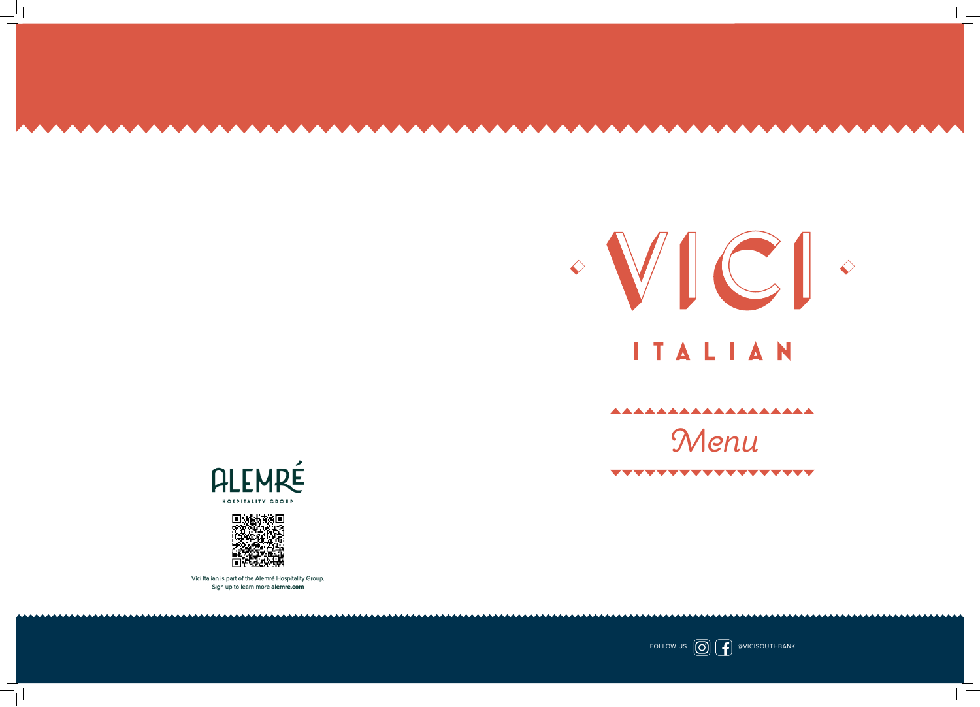









Vici Italian is part of the Alemré Hospitality Group. Sign up to learn more **alemre.com**